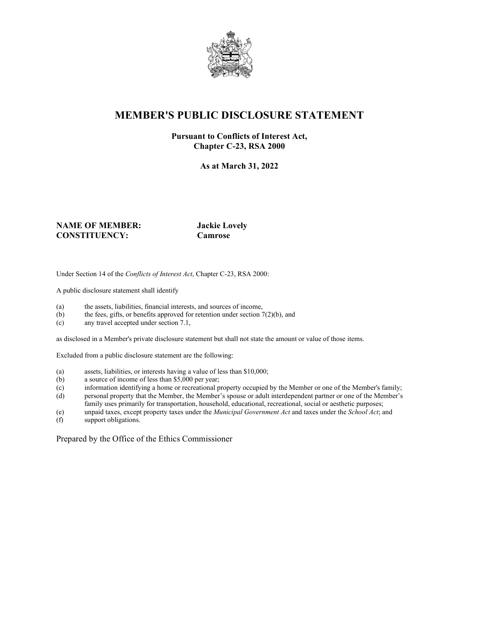

# **MEMBER'S PUBLIC DISCLOSURE STATEMENT**

#### **Pursuant to Conflicts of Interest Act, Chapter C-23, RSA 2000**

**As at March 31, 2022**

#### **NAME OF MEMBER: Jackie Lovely CONSTITUENCY: Camrose**

Under Section 14 of the *Conflicts of Interest Act*, Chapter C-23, RSA 2000:

A public disclosure statement shall identify

- (a) the assets, liabilities, financial interests, and sources of income,
- (b) the fees, gifts, or benefits approved for retention under section  $7(2)(b)$ , and
- (c) any travel accepted under section 7.1,

as disclosed in a Member's private disclosure statement but shall not state the amount or value of those items.

Excluded from a public disclosure statement are the following:

- (a) assets, liabilities, or interests having a value of less than \$10,000;
- (b) a source of income of less than \$5,000 per year;
- (c) information identifying a home or recreational property occupied by the Member or one of the Member's family;
- (d) personal property that the Member, the Member's spouse or adult interdependent partner or one of the Member's family uses primarily for transportation, household, educational, recreational, social or aesthetic purposes;
- (e) unpaid taxes, except property taxes under the *Municipal Government Act* and taxes under the *School Act*; and
- support obligations.

Prepared by the Office of the Ethics Commissioner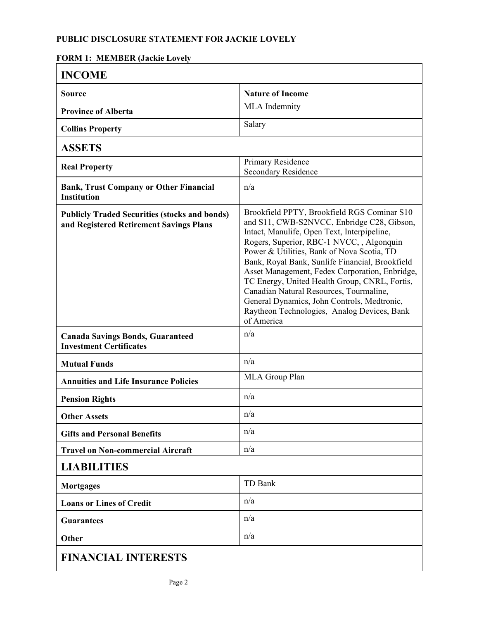## **PUBLIC DISCLOSURE STATEMENT FOR JACKIE LOVELY**

### **FORM 1: MEMBER (Jackie Lovely**

| <b>INCOME</b>                                                                                   |                                                                                                                                                                                                                                                                                                                                                                                                                                                                                                                                                  |
|-------------------------------------------------------------------------------------------------|--------------------------------------------------------------------------------------------------------------------------------------------------------------------------------------------------------------------------------------------------------------------------------------------------------------------------------------------------------------------------------------------------------------------------------------------------------------------------------------------------------------------------------------------------|
| <b>Source</b>                                                                                   | <b>Nature of Income</b>                                                                                                                                                                                                                                                                                                                                                                                                                                                                                                                          |
| <b>Province of Alberta</b>                                                                      | MLA Indemnity                                                                                                                                                                                                                                                                                                                                                                                                                                                                                                                                    |
| <b>Collins Property</b>                                                                         | Salary                                                                                                                                                                                                                                                                                                                                                                                                                                                                                                                                           |
| <b>ASSETS</b>                                                                                   |                                                                                                                                                                                                                                                                                                                                                                                                                                                                                                                                                  |
| <b>Real Property</b>                                                                            | Primary Residence<br><b>Secondary Residence</b>                                                                                                                                                                                                                                                                                                                                                                                                                                                                                                  |
| <b>Bank, Trust Company or Other Financial</b><br><b>Institution</b>                             | n/a                                                                                                                                                                                                                                                                                                                                                                                                                                                                                                                                              |
| <b>Publicly Traded Securities (stocks and bonds)</b><br>and Registered Retirement Savings Plans | Brookfield PPTY, Brookfield RGS Cominar S10<br>and S11, CWB-S2NVCC, Enbridge C28, Gibson,<br>Intact, Manulife, Open Text, Interpipeline,<br>Rogers, Superior, RBC-1 NVCC, , Algonquin<br>Power & Utilities, Bank of Nova Scotia, TD<br>Bank, Royal Bank, Sunlife Financial, Brookfield<br>Asset Management, Fedex Corporation, Enbridge,<br>TC Energy, United Health Group, CNRL, Fortis,<br>Canadian Natural Resources, Tourmaline,<br>General Dynamics, John Controls, Medtronic,<br>Raytheon Technologies, Analog Devices, Bank<br>of America |
| <b>Canada Savings Bonds, Guaranteed</b><br><b>Investment Certificates</b>                       | n/a                                                                                                                                                                                                                                                                                                                                                                                                                                                                                                                                              |
| <b>Mutual Funds</b>                                                                             | n/a                                                                                                                                                                                                                                                                                                                                                                                                                                                                                                                                              |
| <b>Annuities and Life Insurance Policies</b>                                                    | MLA Group Plan                                                                                                                                                                                                                                                                                                                                                                                                                                                                                                                                   |
| <b>Pension Rights</b>                                                                           | n/a                                                                                                                                                                                                                                                                                                                                                                                                                                                                                                                                              |
| <b>Other Assets</b>                                                                             | n/a                                                                                                                                                                                                                                                                                                                                                                                                                                                                                                                                              |
| <b>Gifts and Personal Benefits</b>                                                              | n/a                                                                                                                                                                                                                                                                                                                                                                                                                                                                                                                                              |
| <b>Travel on Non-commercial Aircraft</b>                                                        | n/a                                                                                                                                                                                                                                                                                                                                                                                                                                                                                                                                              |
| <b>LIABILITIES</b>                                                                              |                                                                                                                                                                                                                                                                                                                                                                                                                                                                                                                                                  |
| <b>Mortgages</b>                                                                                | TD Bank                                                                                                                                                                                                                                                                                                                                                                                                                                                                                                                                          |
| <b>Loans or Lines of Credit</b>                                                                 | n/a                                                                                                                                                                                                                                                                                                                                                                                                                                                                                                                                              |
| <b>Guarantees</b>                                                                               | n/a                                                                                                                                                                                                                                                                                                                                                                                                                                                                                                                                              |
| Other                                                                                           | n/a                                                                                                                                                                                                                                                                                                                                                                                                                                                                                                                                              |
| <b>FINANCIAL INTERESTS</b>                                                                      |                                                                                                                                                                                                                                                                                                                                                                                                                                                                                                                                                  |